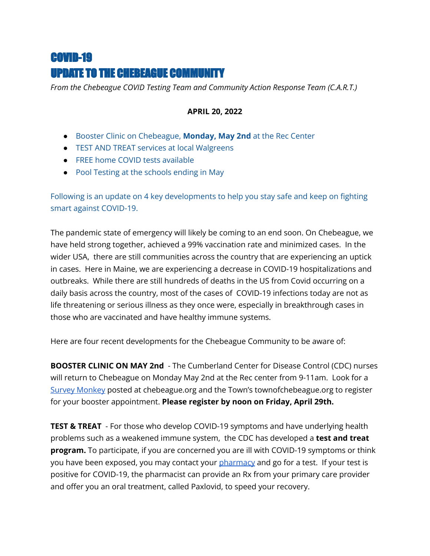## COVID-19 UPDATE TO THE CHEBEAGUE COMMUNITY

*From the Chebeague COVID Testing Team and Community Action Response Team (C.A.R.T.)*

## **APRIL 20, 2022**

- Booster Clinic on Chebeague, **Monday, May 2nd** at the Rec Center
- TEST AND TREAT services at local Walgreens
- FREE home COVID tests available
- Pool Testing at the schools ending in May

Following is an update on 4 key developments to help you stay safe and keep on fighting smart against COVID-19.

The pandemic state of emergency will likely be coming to an end soon. On Chebeague, we have held strong together, achieved a 99% vaccination rate and minimized cases. In the wider USA, there are still communities across the country that are experiencing an uptick in cases. Here in Maine, we are experiencing a decrease in COVID-19 hospitalizations and outbreaks. While there are still hundreds of deaths in the US from Covid occurring on a daily basis across the country, most of the cases of COVID-19 infections today are not as life threatening or serious illness as they once were, especially in breakthrough cases in those who are vaccinated and have healthy immune systems.

Here are four recent developments for the Chebeague Community to be aware of:

**BOOSTER CLINIC ON MAY 2nd** - The Cumberland Center for Disease Control (CDC) nurses will return to Chebeague on Monday May 2nd at the Rec center from 9-11am. Look for a Survey [Monkey](https://www.townofchebeagueisland.org/index.asp?SEC=958FECDC-70CF-4E91-847F-EB59A9BFBEF3&DE=5DA99807-8728-4CDD-AA1F-8ADEB1EB43B4&Type=B_BASIC) posted at chebeague.org and the Town's townofchebeague.org to register for your booster appointment. **Please register by noon on Friday, April 29th.**

**TEST & TREAT** - For those who develop COVID-19 symptoms and have underlying health problems such as a weakened immune system, the CDC has developed a **test and treat program.** To participate, if you are concerned you are ill with COVID-19 symptoms or think you have been exposed, you may contact your *[pharmacy](https://www.maine.gov/covid19/testing/yarmouth-walgreens)* and go for a test. If your test is positive for COVID-19, the pharmacist can provide an Rx from your primary care provider and offer you an oral treatment, called Paxlovid, to speed your recovery.